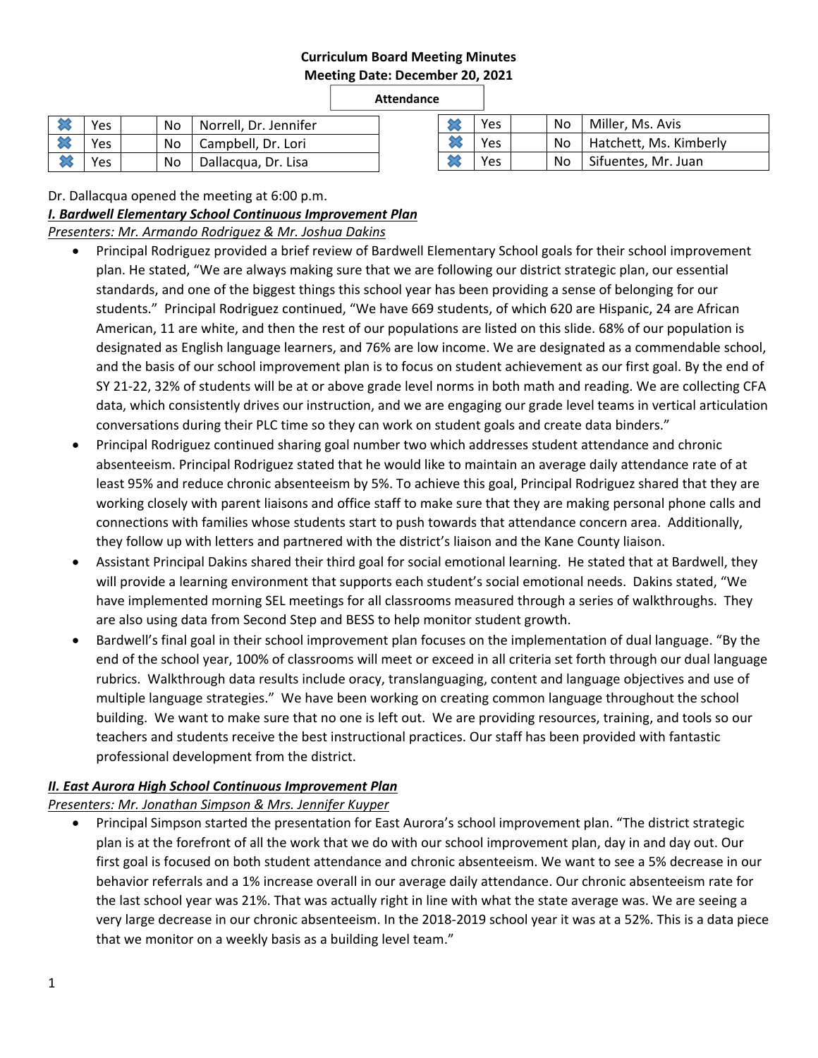#### **Curriculum Board Meeting Minutes Meeting Date: December 20, 2021**

#### **Attendance**

|                            | Yes |  | No   Norrell, Dr. Jennifer |
|----------------------------|-----|--|----------------------------|
|                            | Yes |  | No   Campbell, Dr. Lori    |
| $\boldsymbol{\mathcal{Z}}$ | Yes |  | No   Dallacqua, Dr. Lisa   |

| Yes  |  | No   Miller, Ms. Avis     |
|------|--|---------------------------|
| Yes  |  | No Hatchett, Ms. Kimberly |
| Yes. |  | No   Sifuentes, Mr. Juan  |

Dr. Dallacqua opened the meeting at 6:00 p.m.

*I. Bardwell Elementary School Continuous Improvement Plan* 

*Presenters: Mr. Armando Rodriguez & Mr. Joshua Dakins* 

- Principal Rodriguez provided a brief review of Bardwell Elementary School goals for their school improvement plan. He stated, "We are always making sure that we are following our district strategic plan, our essential standards, and one of the biggest things this school year has been providing a sense of belonging for our students." Principal Rodriguez continued, "We have 669 students, of which 620 are Hispanic, 24 are African American, 11 are white, and then the rest of our populations are listed on this slide. 68% of our population is designated as English language learners, and 76% are low income. We are designated as a commendable school, and the basis of our school improvement plan is to focus on student achievement as our first goal. By the end of SY 21‐22, 32% of students will be at or above grade level norms in both math and reading. We are collecting CFA data, which consistently drives our instruction, and we are engaging our grade level teams in vertical articulation conversations during their PLC time so they can work on student goals and create data binders."
- Principal Rodriguez continued sharing goal number two which addresses student attendance and chronic absenteeism. Principal Rodriguez stated that he would like to maintain an average daily attendance rate of at least 95% and reduce chronic absenteeism by 5%. To achieve this goal, Principal Rodriguez shared that they are working closely with parent liaisons and office staff to make sure that they are making personal phone calls and connections with families whose students start to push towards that attendance concern area. Additionally, they follow up with letters and partnered with the district's liaison and the Kane County liaison.
- Assistant Principal Dakins shared their third goal for social emotional learning. He stated that at Bardwell, they will provide a learning environment that supports each student's social emotional needs. Dakins stated, "We have implemented morning SEL meetings for all classrooms measured through a series of walkthroughs. They are also using data from Second Step and BESS to help monitor student growth.
- Bardwell's final goal in their school improvement plan focuses on the implementation of dual language. "By the end of the school year, 100% of classrooms will meet or exceed in all criteria set forth through our dual language rubrics. Walkthrough data results include oracy, translanguaging, content and language objectives and use of multiple language strategies." We have been working on creating common language throughout the school building. We want to make sure that no one is left out. We are providing resources, training, and tools so our teachers and students receive the best instructional practices. Our staff has been provided with fantastic professional development from the district.

# *II. East Aurora High School Continuous Improvement Plan*

*Presenters: Mr. Jonathan Simpson & Mrs. Jennifer Kuyper* 

 Principal Simpson started the presentation for East Aurora's school improvement plan. "The district strategic plan is at the forefront of all the work that we do with our school improvement plan, day in and day out. Our first goal is focused on both student attendance and chronic absenteeism. We want to see a 5% decrease in our behavior referrals and a 1% increase overall in our average daily attendance. Our chronic absenteeism rate for the last school year was 21%. That was actually right in line with what the state average was. We are seeing a very large decrease in our chronic absenteeism. In the 2018‐2019 school year it was at a 52%. This is a data piece that we monitor on a weekly basis as a building level team."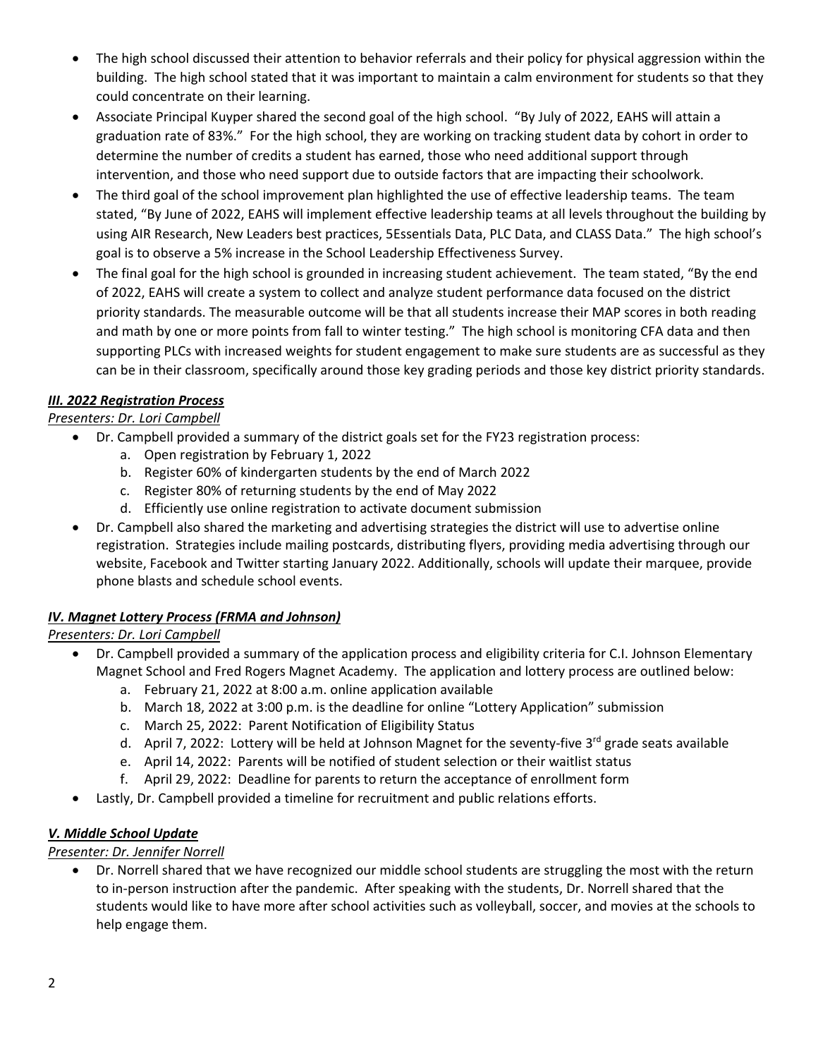- The high school discussed their attention to behavior referrals and their policy for physical aggression within the building. The high school stated that it was important to maintain a calm environment for students so that they could concentrate on their learning.
- Associate Principal Kuyper shared the second goal of the high school. "By July of 2022, EAHS will attain a graduation rate of 83%." For the high school, they are working on tracking student data by cohort in order to determine the number of credits a student has earned, those who need additional support through intervention, and those who need support due to outside factors that are impacting their schoolwork.
- The third goal of the school improvement plan highlighted the use of effective leadership teams. The team stated, "By June of 2022, EAHS will implement effective leadership teams at all levels throughout the building by using AIR Research, New Leaders best practices, 5Essentials Data, PLC Data, and CLASS Data." The high school's goal is to observe a 5% increase in the School Leadership Effectiveness Survey.
- The final goal for the high school is grounded in increasing student achievement. The team stated, "By the end of 2022, EAHS will create a system to collect and analyze student performance data focused on the district priority standards. The measurable outcome will be that all students increase their MAP scores in both reading and math by one or more points from fall to winter testing." The high school is monitoring CFA data and then supporting PLCs with increased weights for student engagement to make sure students are as successful as they can be in their classroom, specifically around those key grading periods and those key district priority standards.

# *III. 2022 Registration Process*

# *Presenters: Dr. Lori Campbell*

- Dr. Campbell provided a summary of the district goals set for the FY23 registration process:
	- a. Open registration by February 1, 2022
	- b. Register 60% of kindergarten students by the end of March 2022
	- c. Register 80% of returning students by the end of May 2022
	- d. Efficiently use online registration to activate document submission
- Dr. Campbell also shared the marketing and advertising strategies the district will use to advertise online registration. Strategies include mailing postcards, distributing flyers, providing media advertising through our website, Facebook and Twitter starting January 2022. Additionally, schools will update their marquee, provide phone blasts and schedule school events.

# *IV. Magnet Lottery Process (FRMA and Johnson)*

# *Presenters: Dr. Lori Campbell*

- Dr. Campbell provided a summary of the application process and eligibility criteria for C.I. Johnson Elementary Magnet School and Fred Rogers Magnet Academy. The application and lottery process are outlined below:
	- a. February 21, 2022 at 8:00 a.m. online application available
	- b. March 18, 2022 at 3:00 p.m. is the deadline for online "Lottery Application" submission
	- c. March 25, 2022: Parent Notification of Eligibility Status
	- d. April 7, 2022: Lottery will be held at Johnson Magnet for the seventy-five 3<sup>rd</sup> grade seats available
	- e. April 14, 2022: Parents will be notified of student selection or their waitlist status
	- f. April 29, 2022: Deadline for parents to return the acceptance of enrollment form
- Lastly, Dr. Campbell provided a timeline for recruitment and public relations efforts.

# *V. Middle School Update*

# *Presenter: Dr. Jennifer Norrell*

 Dr. Norrell shared that we have recognized our middle school students are struggling the most with the return to in-person instruction after the pandemic. After speaking with the students, Dr. Norrell shared that the students would like to have more after school activities such as volleyball, soccer, and movies at the schools to help engage them.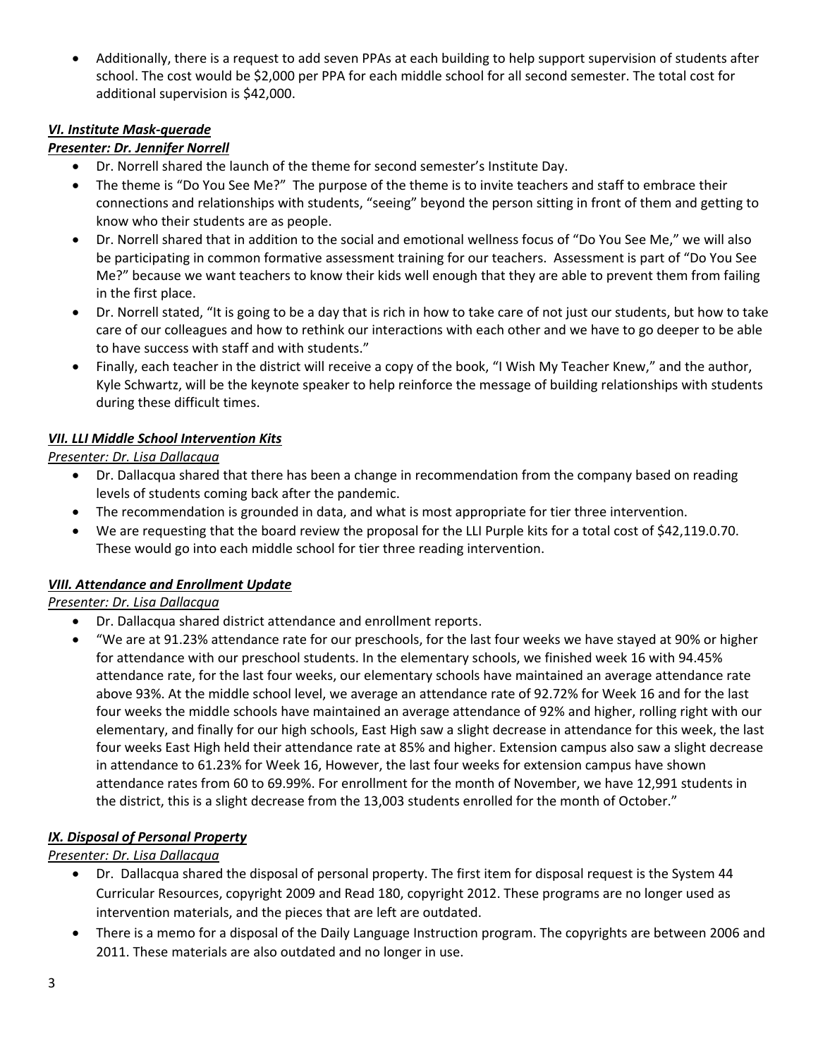Additionally, there is a request to add seven PPAs at each building to help support supervision of students after school. The cost would be \$2,000 per PPA for each middle school for all second semester. The total cost for additional supervision is \$42,000.

#### *VI. Institute Mask‐querade*

# *Presenter: Dr. Jennifer Norrell*

- Dr. Norrell shared the launch of the theme for second semester's Institute Day.
- The theme is "Do You See Me?" The purpose of the theme is to invite teachers and staff to embrace their connections and relationships with students, "seeing" beyond the person sitting in front of them and getting to know who their students are as people.
- Dr. Norrell shared that in addition to the social and emotional wellness focus of "Do You See Me," we will also be participating in common formative assessment training for our teachers. Assessment is part of "Do You See Me?" because we want teachers to know their kids well enough that they are able to prevent them from failing in the first place.
- Dr. Norrell stated, "It is going to be a day that is rich in how to take care of not just our students, but how to take care of our colleagues and how to rethink our interactions with each other and we have to go deeper to be able to have success with staff and with students."
- Finally, each teacher in the district will receive a copy of the book, "I Wish My Teacher Knew," and the author, Kyle Schwartz, will be the keynote speaker to help reinforce the message of building relationships with students during these difficult times.

#### *VII. LLI Middle School Intervention Kits*

*Presenter: Dr. Lisa Dallacqua* 

- Dr. Dallacqua shared that there has been a change in recommendation from the company based on reading levels of students coming back after the pandemic.
- The recommendation is grounded in data, and what is most appropriate for tier three intervention.
- We are requesting that the board review the proposal for the LLI Purple kits for a total cost of \$42,119.0.70. These would go into each middle school for tier three reading intervention.

# *VIII. Attendance and Enrollment Update*

#### *Presenter: Dr. Lisa Dallacqua*

- Dr. Dallacqua shared district attendance and enrollment reports.
- "We are at 91.23% attendance rate for our preschools, for the last four weeks we have stayed at 90% or higher for attendance with our preschool students. In the elementary schools, we finished week 16 with 94.45% attendance rate, for the last four weeks, our elementary schools have maintained an average attendance rate above 93%. At the middle school level, we average an attendance rate of 92.72% for Week 16 and for the last four weeks the middle schools have maintained an average attendance of 92% and higher, rolling right with our elementary, and finally for our high schools, East High saw a slight decrease in attendance for this week, the last four weeks East High held their attendance rate at 85% and higher. Extension campus also saw a slight decrease in attendance to 61.23% for Week 16, However, the last four weeks for extension campus have shown attendance rates from 60 to 69.99%. For enrollment for the month of November, we have 12,991 students in the district, this is a slight decrease from the 13,003 students enrolled for the month of October."

#### *IX. Disposal of Personal Property*

*Presenter: Dr. Lisa Dallacqua* 

- Dr. Dallacqua shared the disposal of personal property. The first item for disposal request is the System 44 Curricular Resources, copyright 2009 and Read 180, copyright 2012. These programs are no longer used as intervention materials, and the pieces that are left are outdated.
- There is a memo for a disposal of the Daily Language Instruction program. The copyrights are between 2006 and 2011. These materials are also outdated and no longer in use.